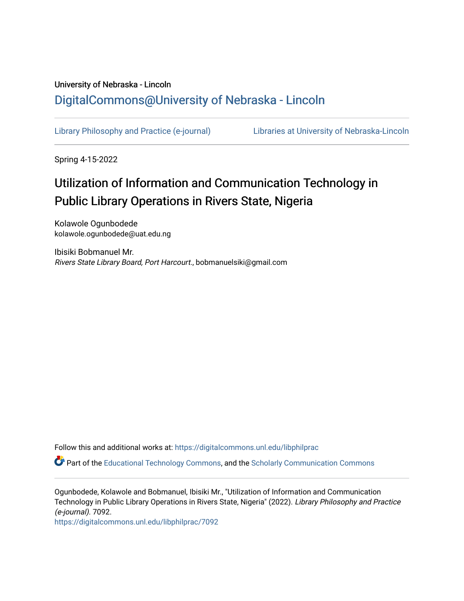# University of Nebraska - Lincoln [DigitalCommons@University of Nebraska - Lincoln](https://digitalcommons.unl.edu/)

[Library Philosophy and Practice \(e-journal\)](https://digitalcommons.unl.edu/libphilprac) [Libraries at University of Nebraska-Lincoln](https://digitalcommons.unl.edu/libraries) 

Spring 4-15-2022

# Utilization of Information and Communication Technology in Public Library Operations in Rivers State, Nigeria

Kolawole Ogunbodede kolawole.ogunbodede@uat.edu.ng

Ibisiki Bobmanuel Mr. Rivers State Library Board, Port Harcourt., bobmanuelsiki@gmail.com

Follow this and additional works at: [https://digitalcommons.unl.edu/libphilprac](https://digitalcommons.unl.edu/libphilprac?utm_source=digitalcommons.unl.edu%2Flibphilprac%2F7092&utm_medium=PDF&utm_campaign=PDFCoverPages) 

Part of the [Educational Technology Commons,](https://network.bepress.com/hgg/discipline/1415?utm_source=digitalcommons.unl.edu%2Flibphilprac%2F7092&utm_medium=PDF&utm_campaign=PDFCoverPages) and the [Scholarly Communication Commons](https://network.bepress.com/hgg/discipline/1272?utm_source=digitalcommons.unl.edu%2Flibphilprac%2F7092&utm_medium=PDF&utm_campaign=PDFCoverPages)

Ogunbodede, Kolawole and Bobmanuel, Ibisiki Mr., "Utilization of Information and Communication Technology in Public Library Operations in Rivers State, Nigeria" (2022). Library Philosophy and Practice (e-journal). 7092.

[https://digitalcommons.unl.edu/libphilprac/7092](https://digitalcommons.unl.edu/libphilprac/7092?utm_source=digitalcommons.unl.edu%2Flibphilprac%2F7092&utm_medium=PDF&utm_campaign=PDFCoverPages)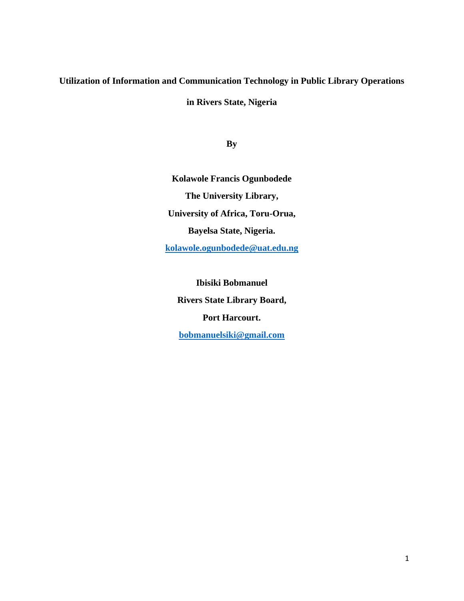# **Utilization of Information and Communication Technology in Public Library Operations**

**in Rivers State, Nigeria**

**By**

**Kolawole Francis Ogunbodede The University Library, University of Africa, Toru-Orua, Bayelsa State, Nigeria. [kolawole.ogunbodede@uat.edu.ng](mailto:kolawole.ogunbodede@uat.edu.ng)**

**Ibisiki Bobmanuel Rivers State Library Board, Port Harcourt. [bobmanuelsiki@gmail.com](mailto:bobmanuelsiki@gmail.com)**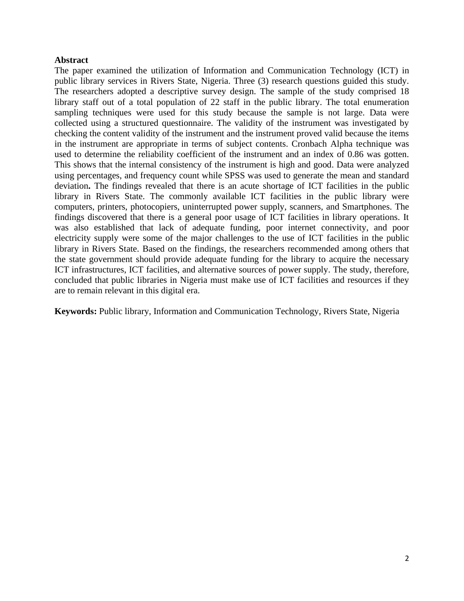# **Abstract**

The paper examined the utilization of Information and Communication Technology (ICT) in public library services in Rivers State, Nigeria. Three (3) research questions guided this study. The researchers adopted a descriptive survey design. The sample of the study comprised 18 library staff out of a total population of 22 staff in the public library. The total enumeration sampling techniques were used for this study because the sample is not large. Data were collected using a structured questionnaire. The validity of the instrument was investigated by checking the content validity of the instrument and the instrument proved valid because the items in the instrument are appropriate in terms of subject contents. Cronbach Alpha technique was used to determine the reliability coefficient of the instrument and an index of 0.86 was gotten. This shows that the internal consistency of the instrument is high and good. Data were analyzed using percentages, and frequency count while SPSS was used to generate the mean and standard deviation**.** The findings revealed that there is an acute shortage of ICT facilities in the public library in Rivers State. The commonly available ICT facilities in the public library were computers, printers, photocopiers, uninterrupted power supply, scanners, and Smartphones. The findings discovered that there is a general poor usage of ICT facilities in library operations. It was also established that lack of adequate funding, poor internet connectivity, and poor electricity supply were some of the major challenges to the use of ICT facilities in the public library in Rivers State. Based on the findings, the researchers recommended among others that the state government should provide adequate funding for the library to acquire the necessary ICT infrastructures, ICT facilities, and alternative sources of power supply. The study, therefore, concluded that public libraries in Nigeria must make use of ICT facilities and resources if they are to remain relevant in this digital era.

**Keywords:** Public library, Information and Communication Technology, Rivers State, Nigeria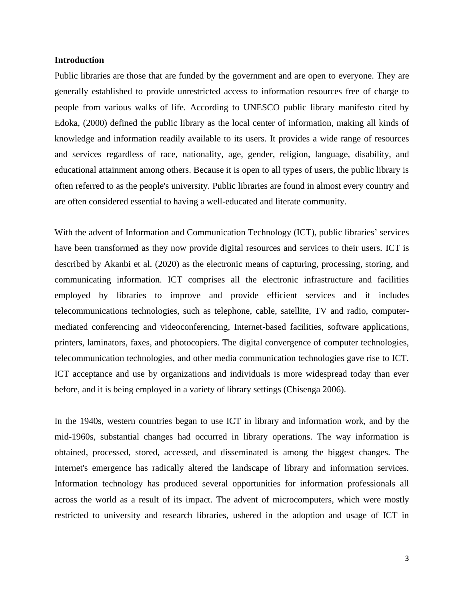## **Introduction**

Public libraries are those that are funded by the government and are open to everyone. They are generally established to provide unrestricted access to information resources free of charge to people from various walks of life. According to UNESCO public library manifesto cited by Edoka, (2000) defined the public library as the local center of information, making all kinds of knowledge and information readily available to its users. It provides a wide range of resources and services regardless of race, nationality, age, gender, religion, language, disability, and educational attainment among others. Because it is open to all types of users, the public library is often referred to as the people's university. Public libraries are found in almost every country and are often considered essential to having a well-educated and literate community.

With the advent of Information and Communication Technology (ICT), public libraries' services have been transformed as they now provide digital resources and services to their users. ICT is described by Akanbi et al. (2020) as the electronic means of capturing, processing, storing, and communicating information. ICT comprises all the electronic infrastructure and facilities employed by libraries to improve and provide efficient services and it includes telecommunications technologies, such as telephone, cable, satellite, TV and radio, computermediated conferencing and videoconferencing, Internet-based facilities, software applications, printers, laminators, faxes, and photocopiers. The digital convergence of computer technologies, telecommunication technologies, and other media communication technologies gave rise to ICT. ICT acceptance and use by organizations and individuals is more widespread today than ever before, and it is being employed in a variety of library settings (Chisenga 2006).

In the 1940s, western countries began to use ICT in library and information work, and by the mid-1960s, substantial changes had occurred in library operations. The way information is obtained, processed, stored, accessed, and disseminated is among the biggest changes. The Internet's emergence has radically altered the landscape of library and information services. Information technology has produced several opportunities for information professionals all across the world as a result of its impact. The advent of microcomputers, which were mostly restricted to university and research libraries, ushered in the adoption and usage of ICT in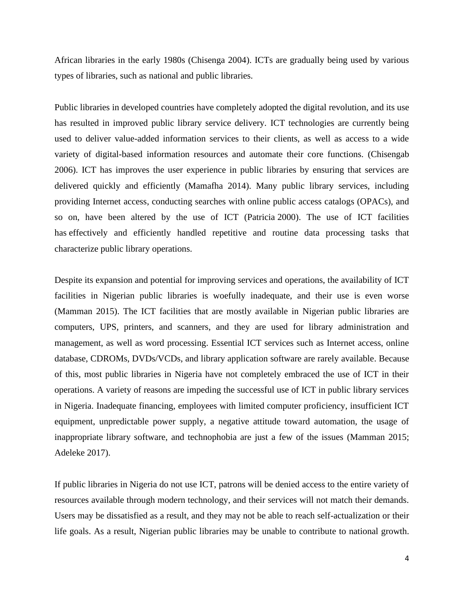African libraries in the early 1980s (Chisenga 2004). ICTs are gradually being used by various types of libraries, such as national and public libraries.

Public libraries in developed countries have completely adopted the digital revolution, and its use has resulted in improved public library service delivery. ICT technologies are currently being used to deliver value-added information services to their clients, as well as access to a wide variety of digital-based information resources and automate their core functions. (Chisengab 2006). ICT has improves the user experience in public libraries by ensuring that services are delivered quickly and efficiently (Mamafha 2014). Many public library services, including providing Internet access, conducting searches with online public access catalogs (OPACs), and so on, have been altered by the use of ICT (Patricia 2000). The use of ICT facilities has effectively and efficiently handled repetitive and routine data processing tasks that characterize public library operations.

Despite its expansion and potential for improving services and operations, the availability of ICT facilities in Nigerian public libraries is woefully inadequate, and their use is even worse (Mamman 2015). The ICT facilities that are mostly available in Nigerian public libraries are computers, UPS, printers, and scanners, and they are used for library administration and management, as well as word processing. Essential ICT services such as Internet access, online database, CDROMs, DVDs/VCDs, and library application software are rarely available. Because of this, most public libraries in Nigeria have not completely embraced the use of ICT in their operations. A variety of reasons are impeding the successful use of ICT in public library services in Nigeria. Inadequate financing, employees with limited computer proficiency, insufficient ICT equipment, unpredictable power supply, a negative attitude toward automation, the usage of inappropriate library software, and technophobia are just a few of the issues (Mamman 2015; Adeleke 2017).

If public libraries in Nigeria do not use ICT, patrons will be denied access to the entire variety of resources available through modern technology, and their services will not match their demands. Users may be dissatisfied as a result, and they may not be able to reach self-actualization or their life goals. As a result, Nigerian public libraries may be unable to contribute to national growth.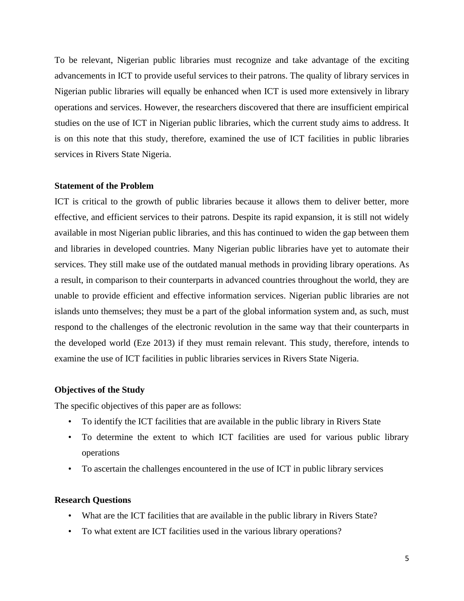To be relevant, Nigerian public libraries must recognize and take advantage of the exciting advancements in ICT to provide useful services to their patrons. The quality of library services in Nigerian public libraries will equally be enhanced when ICT is used more extensively in library operations and services. However, the researchers discovered that there are insufficient empirical studies on the use of ICT in Nigerian public libraries, which the current study aims to address. It is on this note that this study, therefore, examined the use of ICT facilities in public libraries services in Rivers State Nigeria.

# **Statement of the Problem**

ICT is critical to the growth of public libraries because it allows them to deliver better, more effective, and efficient services to their patrons. Despite its rapid expansion, it is still not widely available in most Nigerian public libraries, and this has continued to widen the gap between them and libraries in developed countries. Many Nigerian public libraries have yet to automate their services. They still make use of the outdated manual methods in providing library operations. As a result, in comparison to their counterparts in advanced countries throughout the world, they are unable to provide efficient and effective information services. Nigerian public libraries are not islands unto themselves; they must be a part of the global information system and, as such, must respond to the challenges of the electronic revolution in the same way that their counterparts in the developed world (Eze 2013) if they must remain relevant. This study, therefore, intends to examine the use of ICT facilities in public libraries services in Rivers State Nigeria.

# **Objectives of the Study**

The specific objectives of this paper are as follows:

- To identify the ICT facilities that are available in the public library in Rivers State
- To determine the extent to which ICT facilities are used for various public library operations
- To ascertain the challenges encountered in the use of ICT in public library services

#### **Research Questions**

- What are the ICT facilities that are available in the public library in Rivers State?
- To what extent are ICT facilities used in the various library operations?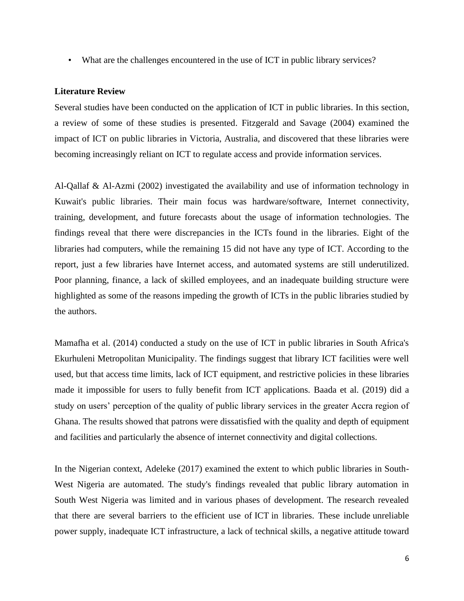• What are the challenges encountered in the use of ICT in public library services?

# **Literature Review**

Several studies have been conducted on the application of ICT in public libraries. In this section, a review of some of these studies is presented. Fitzgerald and Savage (2004) examined the impact of ICT on public libraries in Victoria, Australia, and discovered that these libraries were becoming increasingly reliant on ICT to regulate access and provide information services.

Al-Qallaf & Al-Azmi (2002) investigated the availability and use of information technology in Kuwait's public libraries. Their main focus was hardware/software, Internet connectivity, training, development, and future forecasts about the usage of information technologies. The findings reveal that there were discrepancies in the ICTs found in the libraries. Eight of the libraries had computers, while the remaining 15 did not have any type of ICT. According to the report, just a few libraries have Internet access, and automated systems are still underutilized. Poor planning, finance, a lack of skilled employees, and an inadequate building structure were highlighted as some of the reasons impeding the growth of ICTs in the public libraries studied by the authors.

Mamafha et al. (2014) conducted a study on the use of ICT in public libraries in South Africa's Ekurhuleni Metropolitan Municipality. The findings suggest that library ICT facilities were well used, but that access time limits, lack of ICT equipment, and restrictive policies in these libraries made it impossible for users to fully benefit from ICT applications. Baada et al. (2019) did a study on users' perception of the quality of public library services in the greater Accra region of Ghana. The results showed that patrons were dissatisfied with the quality and depth of equipment and facilities and particularly the absence of internet connectivity and digital collections.

In the Nigerian context, Adeleke (2017) examined the extent to which public libraries in South-West Nigeria are automated. The study's findings revealed that public library automation in South West Nigeria was limited and in various phases of development. The research revealed that there are several barriers to the efficient use of ICT in libraries. These include unreliable power supply, inadequate ICT infrastructure, a lack of technical skills, a negative attitude toward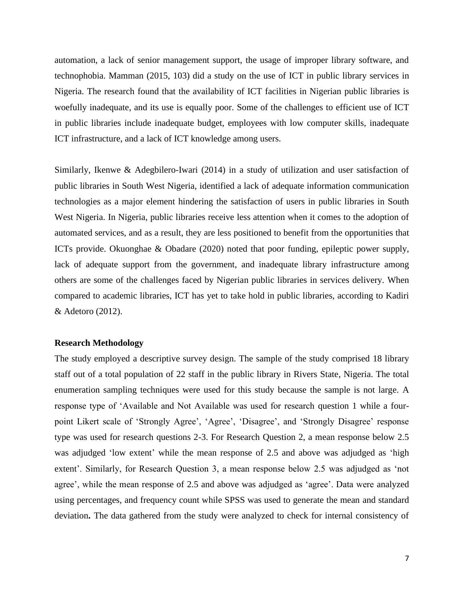automation, a lack of senior management support, the usage of improper library software, and technophobia. Mamman (2015, 103) did a study on the use of ICT in public library services in Nigeria. The research found that the availability of ICT facilities in Nigerian public libraries is woefully inadequate, and its use is equally poor. Some of the challenges to efficient use of ICT in public libraries include inadequate budget, employees with low computer skills, inadequate ICT infrastructure, and a lack of ICT knowledge among users.

Similarly, Ikenwe & Adegbilero-Iwari (2014) in a study of utilization and user satisfaction of public libraries in South West Nigeria, identified a lack of adequate information communication technologies as a major element hindering the satisfaction of users in public libraries in South West Nigeria. In Nigeria, public libraries receive less attention when it comes to the adoption of automated services, and as a result, they are less positioned to benefit from the opportunities that ICTs provide. Okuonghae & Obadare (2020) noted that poor funding, epileptic power supply, lack of adequate support from the government, and inadequate library infrastructure among others are some of the challenges faced by Nigerian public libraries in services delivery. When compared to academic libraries, ICT has yet to take hold in public libraries, according to Kadiri & Adetoro (2012).

# **Research Methodology**

The study employed a descriptive survey design. The sample of the study comprised 18 library staff out of a total population of 22 staff in the public library in Rivers State, Nigeria. The total enumeration sampling techniques were used for this study because the sample is not large. A response type of 'Available and Not Available was used for research question 1 while a fourpoint Likert scale of 'Strongly Agree', 'Agree', 'Disagree', and 'Strongly Disagree' response type was used for research questions 2-3. For Research Question 2, a mean response below 2.5 was adjudged 'low extent' while the mean response of 2.5 and above was adjudged as 'high extent'. Similarly, for Research Question 3, a mean response below 2.5 was adjudged as 'not agree', while the mean response of 2.5 and above was adjudged as 'agree'. Data were analyzed using percentages, and frequency count while SPSS was used to generate the mean and standard deviation**.** The data gathered from the study were analyzed to check for internal consistency of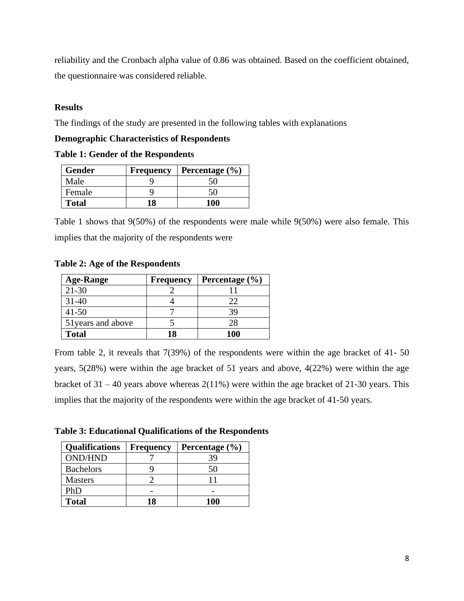reliability and the Cronbach alpha value of 0.86 was obtained. Based on the coefficient obtained, the questionnaire was considered reliable.

# **Results**

The findings of the study are presented in the following tables with explanations

# **Demographic Characteristics of Respondents**

**Table 1: Gender of the Respondents**

| <b>Gender</b> | Frequency | Percentage $(\% )$ |
|---------------|-----------|--------------------|
| Male          |           |                    |
| Female        |           | ٢Ω                 |
| <b>Total</b>  | 18        | 100                |

Table 1 shows that 9(50%) of the respondents were male while 9(50%) were also female. This implies that the majority of the respondents were

**Table 2: Age of the Respondents**

| <b>Age-Range</b>   | <b>Frequency</b> | Percentage $(\% )$ |
|--------------------|------------------|--------------------|
| $21 - 30$          |                  |                    |
| $31 - 40$          |                  | 27                 |
| $41 - 50$          |                  | ЗG                 |
| 51 years and above |                  | 28                 |
| <b>Total</b>       | 18               | 100                |

From table 2, it reveals that 7(39%) of the respondents were within the age bracket of 41- 50 years, 5(28%) were within the age bracket of 51 years and above, 4(22%) were within the age bracket of  $31 - 40$  years above whereas  $2(11\%)$  were within the age bracket of  $21-30$  years. This implies that the majority of the respondents were within the age bracket of 41-50 years.

**Table 3: Educational Qualifications of the Respondents**

| <b>Qualifications</b> | <b>Frequency</b> | Percentage $(\% )$ |
|-----------------------|------------------|--------------------|
| <b>OND/HND</b>        |                  | 39                 |
| <b>Bachelors</b>      |                  | 50                 |
| <b>Masters</b>        |                  |                    |
| PhD                   |                  |                    |
| <b>Total</b>          |                  | 100                |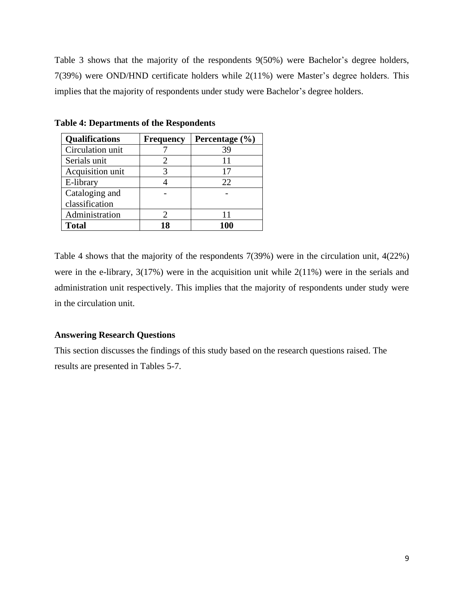Table 3 shows that the majority of the respondents 9(50%) were Bachelor's degree holders, 7(39%) were OND/HND certificate holders while 2(11%) were Master's degree holders. This implies that the majority of respondents under study were Bachelor's degree holders.

| <b>Qualifications</b> | <b>Frequency</b> | Percentage $(\% )$ |
|-----------------------|------------------|--------------------|
| Circulation unit      |                  | 39                 |
| Serials unit          |                  | 11                 |
| Acquisition unit      |                  | 17                 |
| E-library             |                  | 22                 |
| Cataloging and        |                  |                    |
| classification        |                  |                    |
| Administration        |                  | 11                 |
| <b>Total</b>          |                  | 100                |

**Table 4: Departments of the Respondents**

Table 4 shows that the majority of the respondents 7(39%) were in the circulation unit, 4(22%) were in the e-library, 3(17%) were in the acquisition unit while 2(11%) were in the serials and administration unit respectively. This implies that the majority of respondents under study were in the circulation unit.

# **Answering Research Questions**

This section discusses the findings of this study based on the research questions raised. The results are presented in Tables 5-7.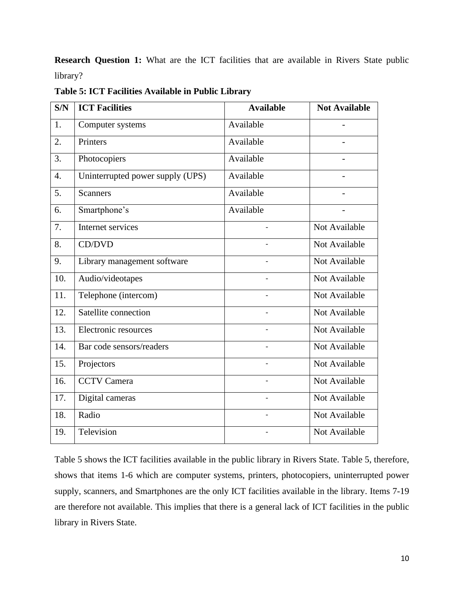**Research Question 1:** What are the ICT facilities that are available in Rivers State public library?

|  | Table 5: ICT Facilities Available in Public Library |  |
|--|-----------------------------------------------------|--|
|--|-----------------------------------------------------|--|

| S/N              | <b>ICT Facilities</b>            | <b>Available</b>         | <b>Not Available</b> |
|------------------|----------------------------------|--------------------------|----------------------|
| 1.               | Computer systems                 | Available                |                      |
| 2.               | Printers                         | Available                |                      |
| 3.               | Photocopiers                     | Available                |                      |
| $\overline{4}$ . | Uninterrupted power supply (UPS) | Available                |                      |
| 5.               | <b>Scanners</b>                  | Available                |                      |
| 6.               | Smartphone's                     | Available                |                      |
| 7.               | Internet services                |                          | Not Available        |
| 8.               | CD/DVD                           |                          | Not Available        |
| 9.               | Library management software      |                          | Not Available        |
| 10.              | Audio/videotapes                 |                          | Not Available        |
| 11.              | Telephone (intercom)             |                          | Not Available        |
| 12.              | Satellite connection             | $\overline{a}$           | Not Available        |
| 13.              | Electronic resources             |                          | Not Available        |
| 14.              | Bar code sensors/readers         |                          | Not Available        |
| 15.              | Projectors                       | $\overline{\phantom{0}}$ | Not Available        |
| 16.              | <b>CCTV Camera</b>               |                          | Not Available        |
| 17.              | Digital cameras                  |                          | Not Available        |
| 18.              | Radio                            |                          | Not Available        |
| 19.              | Television                       |                          | Not Available        |

Table 5 shows the ICT facilities available in the public library in Rivers State. Table 5, therefore, shows that items 1-6 which are computer systems, printers, photocopiers, uninterrupted power supply, scanners, and Smartphones are the only ICT facilities available in the library. Items 7-19 are therefore not available. This implies that there is a general lack of ICT facilities in the public library in Rivers State.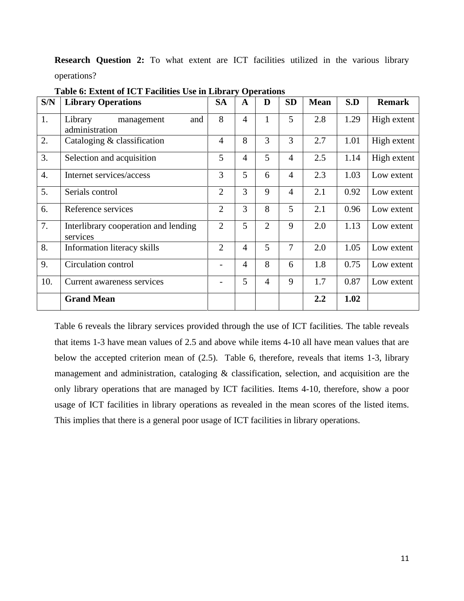**Research Question 2:** To what extent are ICT facilities utilized in the various library operations?

| S/N              | <b>Library Operations</b>                        | <b>SA</b>      | A              | D              | <b>SD</b>      | <b>Mean</b> | S.D  | <b>Remark</b> |
|------------------|--------------------------------------------------|----------------|----------------|----------------|----------------|-------------|------|---------------|
| 1.               | and<br>Library<br>management<br>administration   | 8              | $\overline{4}$ | 1              | 5              | 2.8         | 1.29 | High extent   |
| 2.               | Cataloging $&$ classification                    | $\overline{4}$ | 8              | 3              | 3              | 2.7         | 1.01 | High extent   |
| 3.               | Selection and acquisition                        | 5              | $\overline{4}$ | 5              | $\overline{4}$ | 2.5         | 1.14 | High extent   |
| $\overline{4}$ . | Internet services/access                         | 3              | 5              | 6              | $\overline{4}$ | 2.3         | 1.03 | Low extent    |
| 5.               | Serials control                                  | $\overline{2}$ | 3              | 9              | $\overline{4}$ | 2.1         | 0.92 | Low extent    |
| 6.               | Reference services                               | $\overline{2}$ | 3              | 8              | 5              | 2.1         | 0.96 | Low extent    |
| 7.               | Interlibrary cooperation and lending<br>services | $\overline{2}$ | 5              | $\overline{2}$ | 9              | 2.0         | 1.13 | Low extent    |
| 8.               | Information literacy skills                      | $\overline{2}$ | $\overline{4}$ | 5              | $\overline{7}$ | 2.0         | 1.05 | Low extent    |
| 9.               | Circulation control                              |                | $\overline{4}$ | 8              | 6              | 1.8         | 0.75 | Low extent    |
| 10.              | Current awareness services                       |                | 5              | $\overline{4}$ | 9              | 1.7         | 0.87 | Low extent    |
|                  | <b>Grand Mean</b>                                |                |                |                |                | 2.2         | 1.02 |               |

**Table 6: Extent of ICT Facilities Use in Library Operations**

Table 6 reveals the library services provided through the use of ICT facilities. The table reveals that items 1-3 have mean values of 2.5 and above while items 4-10 all have mean values that are below the accepted criterion mean of (2.5). Table 6, therefore, reveals that items 1-3, library management and administration, cataloging & classification, selection, and acquisition are the only library operations that are managed by ICT facilities. Items 4-10, therefore, show a poor usage of ICT facilities in library operations as revealed in the mean scores of the listed items. This implies that there is a general poor usage of ICT facilities in library operations.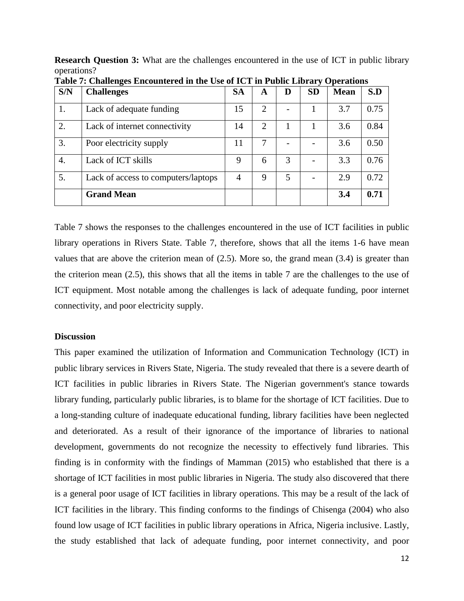**Research Question 3:** What are the challenges encountered in the use of ICT in public library operations?

| S/N | <b>Challenges</b>                   | <b>SA</b> | A                     | D | <b>SD</b> | <b>Mean</b> | S.D  |
|-----|-------------------------------------|-----------|-----------------------|---|-----------|-------------|------|
| 1.  | Lack of adequate funding            | 15        | $\overline{2}$        |   |           | 3.7         | 0.75 |
| 2.  | Lack of internet connectivity       | 14        | $\mathcal{D}_{\cdot}$ |   |           | 3.6         | 0.84 |
| 3.  | Poor electricity supply             | 11        |                       |   |           | 3.6         | 0.50 |
| 4.  | Lack of ICT skills                  | 9         | 6                     | 3 |           | 3.3         | 0.76 |
| 5.  | Lack of access to computers/laptops | 4         | 9                     | 5 |           | 2.9         | 0.72 |
|     | <b>Grand Mean</b>                   |           |                       |   |           | 3.4         | 0.71 |

**Table 7: Challenges Encountered in the Use of ICT in Public Library Operations**

Table 7 shows the responses to the challenges encountered in the use of ICT facilities in public library operations in Rivers State. Table 7, therefore, shows that all the items 1-6 have mean values that are above the criterion mean of (2.5). More so, the grand mean (3.4) is greater than the criterion mean (2.5), this shows that all the items in table 7 are the challenges to the use of ICT equipment. Most notable among the challenges is lack of adequate funding, poor internet connectivity, and poor electricity supply.

#### **Discussion**

This paper examined the utilization of Information and Communication Technology (ICT) in public library services in Rivers State, Nigeria. The study revealed that there is a severe dearth of ICT facilities in public libraries in Rivers State. The Nigerian government's stance towards library funding, particularly public libraries, is to blame for the shortage of ICT facilities. Due to a long-standing culture of inadequate educational funding, library facilities have been neglected and deteriorated. As a result of their ignorance of the importance of libraries to national development, governments do not recognize the necessity to effectively fund libraries. This finding is in conformity with the findings of Mamman (2015) who established that there is a shortage of ICT facilities in most public libraries in Nigeria. The study also discovered that there is a general poor usage of ICT facilities in library operations. This may be a result of the lack of ICT facilities in the library. This finding conforms to the findings of Chisenga (2004) who also found low usage of ICT facilities in public library operations in Africa, Nigeria inclusive. Lastly, the study established that lack of adequate funding, poor internet connectivity, and poor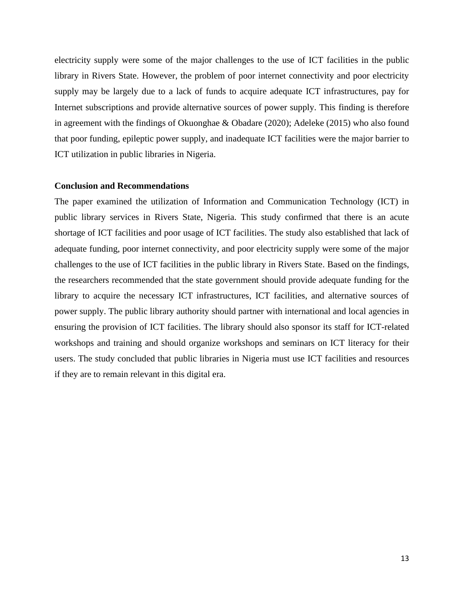electricity supply were some of the major challenges to the use of ICT facilities in the public library in Rivers State. However, the problem of poor internet connectivity and poor electricity supply may be largely due to a lack of funds to acquire adequate ICT infrastructures, pay for Internet subscriptions and provide alternative sources of power supply. This finding is therefore in agreement with the findings of Okuonghae & Obadare (2020); Adeleke (2015) who also found that poor funding, epileptic power supply, and inadequate ICT facilities were the major barrier to ICT utilization in public libraries in Nigeria.

#### **Conclusion and Recommendations**

The paper examined the utilization of Information and Communication Technology (ICT) in public library services in Rivers State, Nigeria. This study confirmed that there is an acute shortage of ICT facilities and poor usage of ICT facilities. The study also established that lack of adequate funding, poor internet connectivity, and poor electricity supply were some of the major challenges to the use of ICT facilities in the public library in Rivers State. Based on the findings, the researchers recommended that the state government should provide adequate funding for the library to acquire the necessary ICT infrastructures, ICT facilities, and alternative sources of power supply. The public library authority should partner with international and local agencies in ensuring the provision of ICT facilities. The library should also sponsor its staff for ICT-related workshops and training and should organize workshops and seminars on ICT literacy for their users. The study concluded that public libraries in Nigeria must use ICT facilities and resources if they are to remain relevant in this digital era.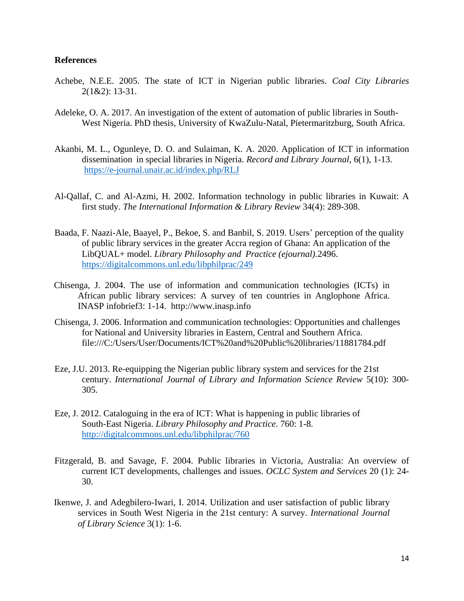# **References**

- Achebe, N.E.E. 2005. The state of ICT in Nigerian public libraries. *Coal City Libraries* 2(1&2): 13-31.
- Adeleke, O. A. 2017. An investigation of the extent of automation of public libraries in South-West Nigeria. PhD thesis, University of KwaZulu-Natal, Pietermaritzburg, South Africa.
- Akanbi, M. L., Ogunleye, D. O. and Sulaiman, K. A. 2020. Application of ICT in information dissemination in special libraries in Nigeria. *Record and Library Journal*, 6(1), 1-13. <https://e-journal.unair.ac.id/index.php/RLJ>
- Al-Qallaf, C. and Al-Azmi, H. 2002. Information technology in public libraries in Kuwait: A first study. *The International Information & Library Review* 34(4): 289-308.
- Baada, F. Naazi-Ale, Baayel, P., Bekoe, S. and Banbil, S. 2019. Users' perception of the quality of public library services in the greater Accra region of Ghana: An application of the LibQUAL+ model. *Library Philosophy and Practice (ejournal).*2496. <https://digitalcommons.unl.edu/libphilprac/249>
- Chisenga, J. 2004. The use of information and communication technologies (ICTs) in African public library services: A survey of ten countries in Anglophone Africa. INASP infobrief3: 1-14. http://www.inasp.info
- Chisenga, J. 2006. Information and communication technologies: Opportunities and challenges for National and University libraries in Eastern, Central and Southern Africa. file:///C:/Users/User/Documents/ICT%20and%20Public%20libraries/11881784.pdf
- Eze, J.U. 2013. Re-equipping the Nigerian public library system and services for the 21st century. *International Journal of Library and Information Science Review* 5(10): 300- 305.
- Eze, J. 2012. Cataloguing in the era of ICT: What is happening in public libraries of South-East Nigeria. *Library Philosophy and Practice*. 760: 1-8. <http://digitalcommons.unl.edu/libphilprac/760>
- Fitzgerald, B. and Savage, F. 2004. Public libraries in Victoria, Australia: An overview of current ICT developments, challenges and issues. *OCLC System and Services* 20 (1): 24- 30.
- Ikenwe, J. and Adegbilero-Iwari, I. 2014. Utilization and user satisfaction of public library services in South West Nigeria in the 21st century: A survey. *International Journal of Library Science* 3(1): 1-6.